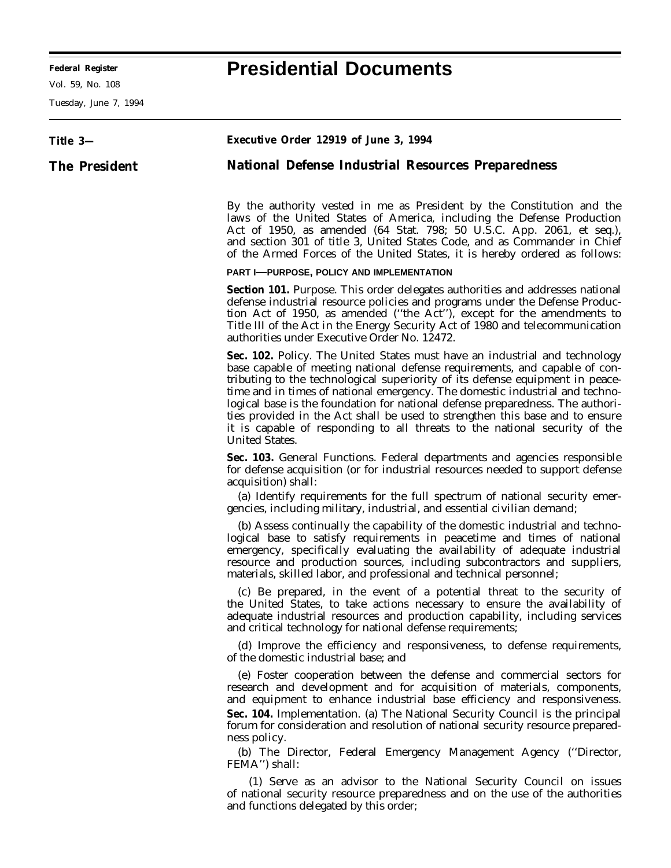-

Vol. 59, No. 108

Tuesday, June 7, 1994

# **Federal Register Presidential Documents**

Ξ

| Title 3—      | Executive Order 12919 of June 3, 1994                                                                                                                                                                                                                                                                                                                                                                                                                                                                                                                                                              |
|---------------|----------------------------------------------------------------------------------------------------------------------------------------------------------------------------------------------------------------------------------------------------------------------------------------------------------------------------------------------------------------------------------------------------------------------------------------------------------------------------------------------------------------------------------------------------------------------------------------------------|
| The President | <b>National Defense Industrial Resources Preparedness</b>                                                                                                                                                                                                                                                                                                                                                                                                                                                                                                                                          |
|               | By the authority vested in me as President by the Constitution and the<br>laws of the United States of America, including the Defense Production<br>Act of 1950, as amended (64 Stat. 798; 50 U.S.C. App. 2061, et seq.),<br>and section 301 of title 3, United States Code, and as Commander in Chief<br>of the Armed Forces of the United States, it is hereby ordered as follows:                                                                                                                                                                                                               |
|               | PART I-PURPOSE, POLICY AND IMPLEMENTATION                                                                                                                                                                                                                                                                                                                                                                                                                                                                                                                                                          |
|               | Section 101. Purpose. This order delegates authorities and addresses national<br>defense industrial resource policies and programs under the Defense Produc-<br>tion Act of 1950, as amended ("the Act"), except for the amendments to<br>Title III of the Act in the Energy Security Act of 1980 and telecommunication<br>authorities under Executive Order No. 12472.                                                                                                                                                                                                                            |
|               | Sec. 102. Policy. The United States must have an industrial and technology<br>base capable of meeting national defense requirements, and capable of con-<br>tributing to the technological superiority of its defense equipment in peace-<br>time and in times of national emergency. The domestic industrial and techno-<br>logical base is the foundation for national defense preparedness. The authori-<br>ties provided in the Act shall be used to strengthen this base and to ensure<br>it is capable of responding to all threats to the national security of the<br><b>United States.</b> |
|               | Sec. 103. General Functions. Federal departments and agencies responsible<br>for defense acquisition (or for industrial resources needed to support defense<br>acquisition) shall:<br>(a) Identify requirements for the full spectrum of national security emer-<br>gencies, including military, industrial, and essential civilian demand;                                                                                                                                                                                                                                                        |
|               | (b) Assess continually the capability of the domestic industrial and techno-<br>logical base to satisfy requirements in peacetime and times of national<br>emergency, specifically evaluating the availability of adequate industrial<br>resource and production sources, including subcontractors and suppliers,<br>materials, skilled labor, and professional and technical personnel;                                                                                                                                                                                                           |
|               | (c) Be prepared, in the event of a potential threat to the security of<br>the United States, to take actions necessary to ensure the availability of<br>adequate industrial resources and production capability, including services<br>and critical technology for national defense requirements;                                                                                                                                                                                                                                                                                                  |
|               | (d) Improve the efficiency and responsiveness, to defense requirements,<br>of the domestic industrial base; and                                                                                                                                                                                                                                                                                                                                                                                                                                                                                    |
|               | (e) Foster cooperation between the defense and commercial sectors for<br>research and development and for acquisition of materials, components,<br>and equipment to enhance industrial base efficiency and responsiveness.<br>Sec. 104. Implementation. (a) The National Security Council is the principal<br>forum for consideration and resolution of national security resource prepared-<br>ness policy.                                                                                                                                                                                       |
|               | (b) The Director, Federal Emergency Management Agency ("Director,<br>FEMA") shall:                                                                                                                                                                                                                                                                                                                                                                                                                                                                                                                 |
|               | (1) Serve as an advisor to the National Security Council on issues<br>of national security resource preparedness and on the use of the authorities<br>and functions delegated by this order;                                                                                                                                                                                                                                                                                                                                                                                                       |
|               |                                                                                                                                                                                                                                                                                                                                                                                                                                                                                                                                                                                                    |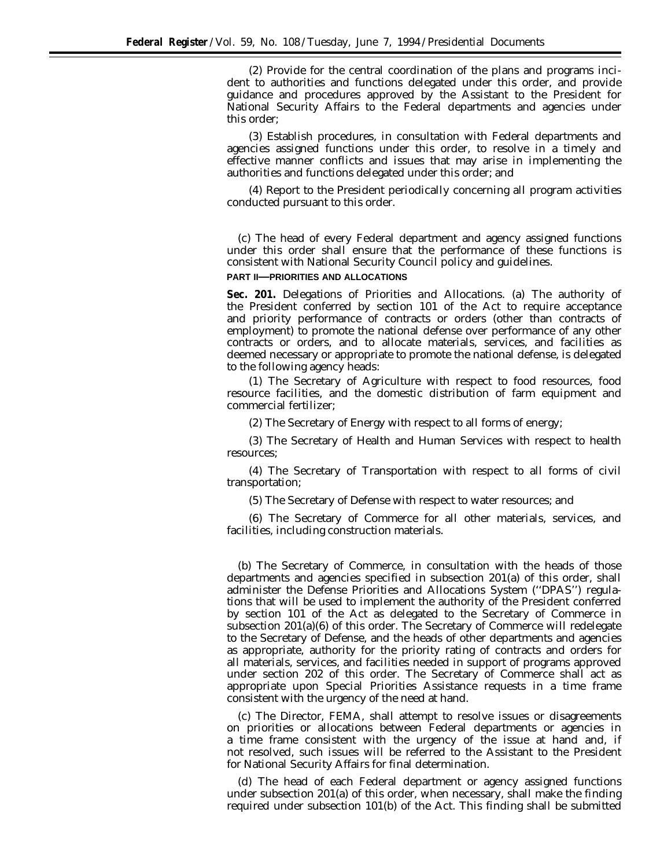(2) Provide for the central coordination of the plans and programs incident to authorities and functions delegated under this order, and provide guidance and procedures approved by the Assistant to the President for National Security Affairs to the Federal departments and agencies under this order;

(3) Establish procedures, in consultation with Federal departments and agencies assigned functions under this order, to resolve in a timely and effective manner conflicts and issues that may arise in implementing the authorities and functions delegated under this order; and

(4) Report to the President periodically concerning all program activities conducted pursuant to this order.

(c) The head of every Federal department and agency assigned functions under this order shall ensure that the performance of these functions is consistent with National Security Council policy and guidelines.

## **PART II—PRIORITIES AND ALLOCATIONS**

**Sec. 201.** *Delegations of Priorities and Allocations.* (a) The authority of the President conferred by section 101 of the Act to require acceptance and priority performance of contracts or orders (other than contracts of employment) to promote the national defense over performance of any other contracts or orders, and to allocate materials, services, and facilities as deemed necessary or appropriate to promote the national defense, is delegated to the following agency heads:

(1) The Secretary of Agriculture with respect to food resources, food resource facilities, and the domestic distribution of farm equipment and commercial fertilizer;

(2) The Secretary of Energy with respect to all forms of energy;

(3) The Secretary of Health and Human Services with respect to health resources;

(4) The Secretary of Transportation with respect to all forms of civil transportation;

(5) The Secretary of Defense with respect to water resources; and

(6) The Secretary of Commerce for all other materials, services, and facilities, including construction materials.

(b) The Secretary of Commerce, in consultation with the heads of those departments and agencies specified in subsection 201(a) of this order, shall administer the Defense Priorities and Allocations System (''DPAS'') regulations that will be used to implement the authority of the President conferred by section 101 of the Act as delegated to the Secretary of Commerce in subsection 201(a)(6) of this order. The Secretary of Commerce will redelegate to the Secretary of Defense, and the heads of other departments and agencies as appropriate, authority for the priority rating of contracts and orders for all materials, services, and facilities needed in support of programs approved under section 202 of this order. The Secretary of Commerce shall act as appropriate upon Special Priorities Assistance requests in a time frame consistent with the urgency of the need at hand.

(c) The Director, FEMA, shall attempt to resolve issues or disagreements on priorities or allocations between Federal departments or agencies in a time frame consistent with the urgency of the issue at hand and, if not resolved, such issues will be referred to the Assistant to the President for National Security Affairs for final determination.

(d) The head of each Federal department or agency assigned functions under subsection 201(a) of this order, when necessary, shall make the finding required under subsection 101(b) of the Act. This finding shall be submitted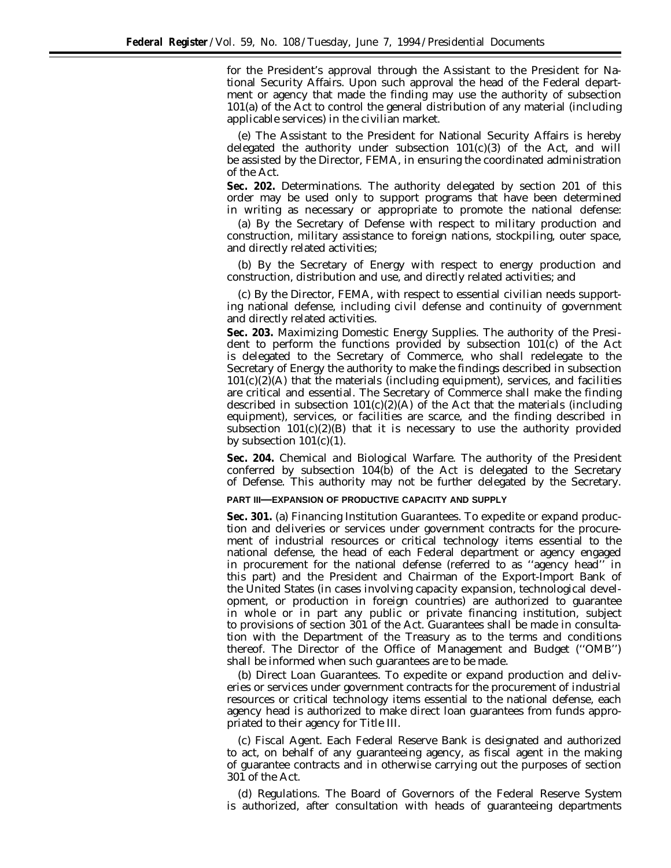for the President's approval through the Assistant to the President for National Security Affairs. Upon such approval the head of the Federal department or agency that made the finding may use the authority of subsection 101(a) of the Act to control the general distribution of any material (including applicable services) in the civilian market.

(e) The Assistant to the President for National Security Affairs is hereby delegated the authority under subsection  $101(c)(3)$  of the Act, and will be assisted by the Director, FEMA, in ensuring the coordinated administration of the Act.

**Sec. 202.** *Determinations.* The authority delegated by section 201 of this order may be used only to support programs that have been determined in writing as necessary or appropriate to promote the national defense:

(a) By the Secretary of Defense with respect to military production and construction, military assistance to foreign nations, stockpiling, outer space, and directly related activities;

(b) By the Secretary of Energy with respect to energy production and construction, distribution and use, and directly related activities; and

(c) By the Director, FEMA, with respect to essential civilian needs supporting national defense, including civil defense and continuity of government and directly related activities.

**Sec. 203.** *Maximizing Domestic Energy Supplies.* The authority of the President to perform the functions provided by subsection 101(c) of the Act is delegated to the Secretary of Commerce, who shall redelegate to the Secretary of Energy the authority to make the findings described in subsection  $101(c)(2)(A)$  that the materials (including equipment), services, and facilities are critical and essential. The Secretary of Commerce shall make the finding described in subsection  $101(c)(2)(A)$  of the Act that the materials (including equipment), services, or facilities are scarce, and the finding described in subsection  $101(c)(2)(B)$  that it is necessary to use the authority provided by subsection  $101(c)(1)$ .

**Sec. 204.** *Chemical and Biological Warfare.* The authority of the President conferred by subsection 104(b) of the Act is delegated to the Secretary of Defense. This authority may not be further delegated by the Secretary.

## **PART III—EXPANSION OF PRODUCTIVE CAPACITY AND SUPPLY**

**Sec. 301.** (a) *Financing Institution Guarantees.* To expedite or expand production and deliveries or services under government contracts for the procurement of industrial resources or critical technology items essential to the national defense, the head of each Federal department or agency engaged in procurement for the national defense (referred to as ''agency head'' in this part) and the President and Chairman of the Export-Import Bank of the United States (in cases involving capacity expansion, technological development, or production in foreign countries) are authorized to guarantee in whole or in part any public or private financing institution, subject to provisions of section 301 of the Act. Guarantees shall be made in consultation with the Department of the Treasury as to the terms and conditions thereof. The Director of the Office of Management and Budget (''OMB'') shall be informed when such guarantees are to be made.

(b) *Direct Loan Guarantees.* To expedite or expand production and deliveries or services under government contracts for the procurement of industrial resources or critical technology items essential to the national defense, each agency head is authorized to make direct loan guarantees from funds appropriated to their agency for Title III.

(c) *Fiscal Agent.* Each Federal Reserve Bank is designated and authorized to act, on behalf of any guaranteeing agency, as fiscal agent in the making of guarantee contracts and in otherwise carrying out the purposes of section 301 of the Act.

(d) *Regulations.* The Board of Governors of the Federal Reserve System is authorized, after consultation with heads of guaranteeing departments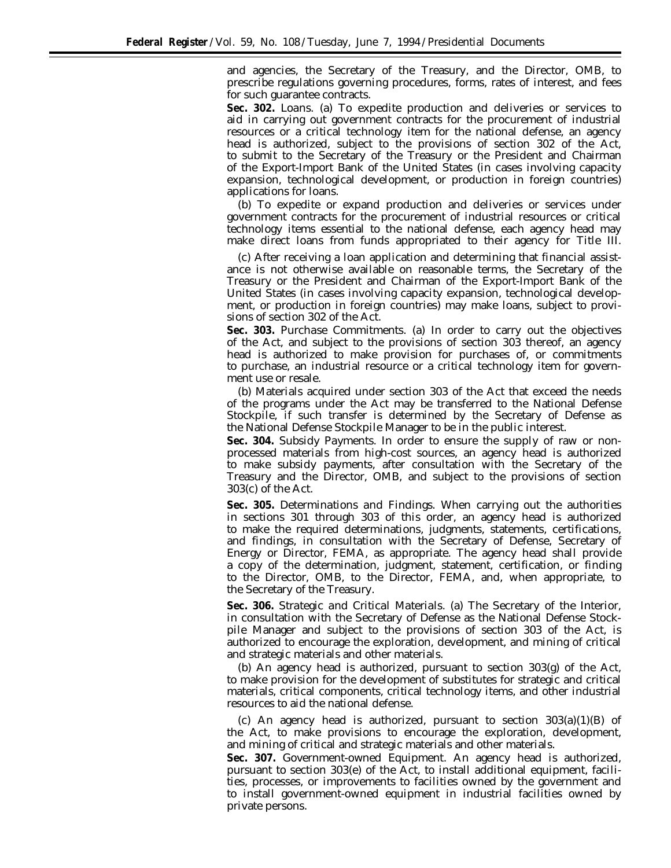and agencies, the Secretary of the Treasury, and the Director, OMB, to prescribe regulations governing procedures, forms, rates of interest, and fees for such guarantee contracts.

**Sec. 302.** *Loans.* (a) To expedite production and deliveries or services to aid in carrying out government contracts for the procurement of industrial resources or a critical technology item for the national defense, an agency head is authorized, subject to the provisions of section 302 of the Act, to submit to the Secretary of the Treasury or the President and Chairman of the Export-Import Bank of the United States (in cases involving capacity expansion, technological development, or production in foreign countries) applications for loans.

(b) To expedite or expand production and deliveries or services under government contracts for the procurement of industrial resources or critical technology items essential to the national defense, each agency head may make direct loans from funds appropriated to their agency for Title III.

(c) After receiving a loan application and determining that financial assistance is not otherwise available on reasonable terms, the Secretary of the Treasury or the President and Chairman of the Export-Import Bank of the United States (in cases involving capacity expansion, technological development, or production in foreign countries) may make loans, subject to provisions of section 302 of the Act.

**Sec. 303.** *Purchase Commitments.* (a) In order to carry out the objectives of the Act, and subject to the provisions of section 303 thereof, an agency head is authorized to make provision for purchases of, or commitments to purchase, an industrial resource or a critical technology item for government use or resale.

(b) Materials acquired under section 303 of the Act that exceed the needs of the programs under the Act may be transferred to the National Defense Stockpile, if such transfer is determined by the Secretary of Defense as the National Defense Stockpile Manager to be in the public interest.

**Sec. 304.** *Subsidy Payments.* In order to ensure the supply of raw or nonprocessed materials from high-cost sources, an agency head is authorized to make subsidy payments, after consultation with the Secretary of the Treasury and the Director, OMB, and subject to the provisions of section 303(c) of the Act.

**Sec. 305.** *Determinations and Findings.* When carrying out the authorities in sections 301 through 303 of this order, an agency head is authorized to make the required determinations, judgments, statements, certifications, and findings, in consultation with the Secretary of Defense, Secretary of Energy or Director, FEMA, as appropriate. The agency head shall provide a copy of the determination, judgment, statement, certification, or finding to the Director, OMB, to the Director, FEMA, and, when appropriate, to the Secretary of the Treasury.

**Sec. 306.** *Strategic and Critical Materials.* (a) The Secretary of the Interior, in consultation with the Secretary of Defense as the National Defense Stockpile Manager and subject to the provisions of section 303 of the Act, is authorized to encourage the exploration, development, and mining of critical and strategic materials and other materials.

(b) An agency head is authorized, pursuant to section 303(g) of the Act, to make provision for the development of substitutes for strategic and critical materials, critical components, critical technology items, and other industrial resources to aid the national defense.

(c) An agency head is authorized, pursuant to section  $303(a)(1)(B)$  of the Act, to make provisions to encourage the exploration, development, and mining of critical and strategic materials and other materials.

**Sec. 307.** *Government-owned Equipment.* An agency head is authorized, pursuant to section 303(e) of the Act, to install additional equipment, facilities, processes, or improvements to facilities owned by the government and to install government-owned equipment in industrial facilities owned by private persons.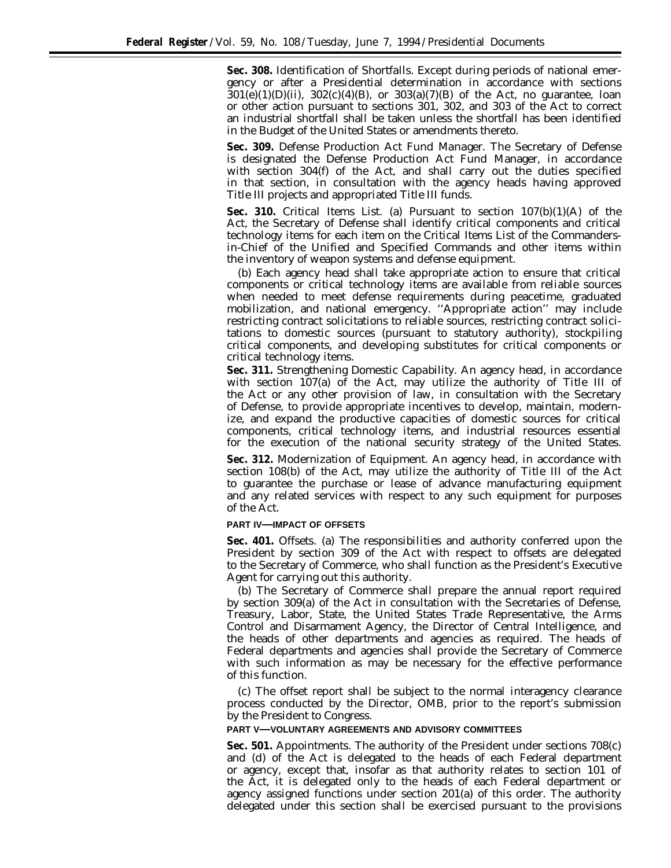**Sec. 308.** *Identification of Shortfalls.* Except during periods of national emergency or after a Presidential determination in accordance with sections  $301(e)(1)(D)(ii)$ ,  $302(c)(4)(B)$ , or  $303(a)(7)(B)$  of the Act, no guarantee, loan or other action pursuant to sections 301, 302, and 303 of the Act to correct an industrial shortfall shall be taken unless the shortfall has been identified in the Budget of the United States or amendments thereto.

**Sec. 309.** *Defense Production Act Fund Manager.* The Secretary of Defense is designated the Defense Production Act Fund Manager, in accordance with section 304(f) of the Act, and shall carry out the duties specified in that section, in consultation with the agency heads having approved Title III projects and appropriated Title III funds.

**Sec. 310.** *Critical Items List.* (a) Pursuant to section 107(b)(1)(A) of the Act, the Secretary of Defense shall identify critical components and critical technology items for each item on the Critical Items List of the Commandersin-Chief of the Unified and Specified Commands and other items within the inventory of weapon systems and defense equipment.

(b) Each agency head shall take appropriate action to ensure that critical components or critical technology items are available from reliable sources when needed to meet defense requirements during peacetime, graduated mobilization, and national emergency. ''Appropriate action'' may include restricting contract solicitations to reliable sources, restricting contract solicitations to domestic sources (pursuant to statutory authority), stockpiling critical components, and developing substitutes for critical components or critical technology items.

**Sec. 311.** *Strengthening Domestic Capability.* An agency head, in accordance with section 107(a) of the Act, may utilize the authority of Title III of the Act or any other provision of law, in consultation with the Secretary of Defense, to provide appropriate incentives to develop, maintain, modernize, and expand the productive capacities of domestic sources for critical components, critical technology items, and industrial resources essential for the execution of the national security strategy of the United States.

**Sec. 312.** *Modernization of Equipment.* An agency head, in accordance with section 108(b) of the Act, may utilize the authority of Title III of the Act to guarantee the purchase or lease of advance manufacturing equipment and any related services with respect to any such equipment for purposes of the Act.

### **PART IV—IMPACT OF OFFSETS**

**Sec. 401.** *Offsets.* (a) The responsibilities and authority conferred upon the President by section 309 of the Act with respect to offsets are delegated to the Secretary of Commerce, who shall function as the President's Executive Agent for carrying out this authority.

(b) The Secretary of Commerce shall prepare the annual report required by section 309(a) of the Act in consultation with the Secretaries of Defense, Treasury, Labor, State, the United States Trade Representative, the Arms Control and Disarmament Agency, the Director of Central Intelligence, and the heads of other departments and agencies as required. The heads of Federal departments and agencies shall provide the Secretary of Commerce with such information as may be necessary for the effective performance of this function.

(c) The offset report shall be subject to the normal interagency clearance process conducted by the Director, OMB, prior to the report's submission by the President to Congress.

## **PART V—VOLUNTARY AGREEMENTS AND ADVISORY COMMITTEES**

**Sec. 501.** *Appointments.* The authority of the President under sections 708(c) and (d) of the Act is delegated to the heads of each Federal department or agency, except that, insofar as that authority relates to section 101 of the Act, it is delegated only to the heads of each Federal department or agency assigned functions under section 201(a) of this order. The authority delegated under this section shall be exercised pursuant to the provisions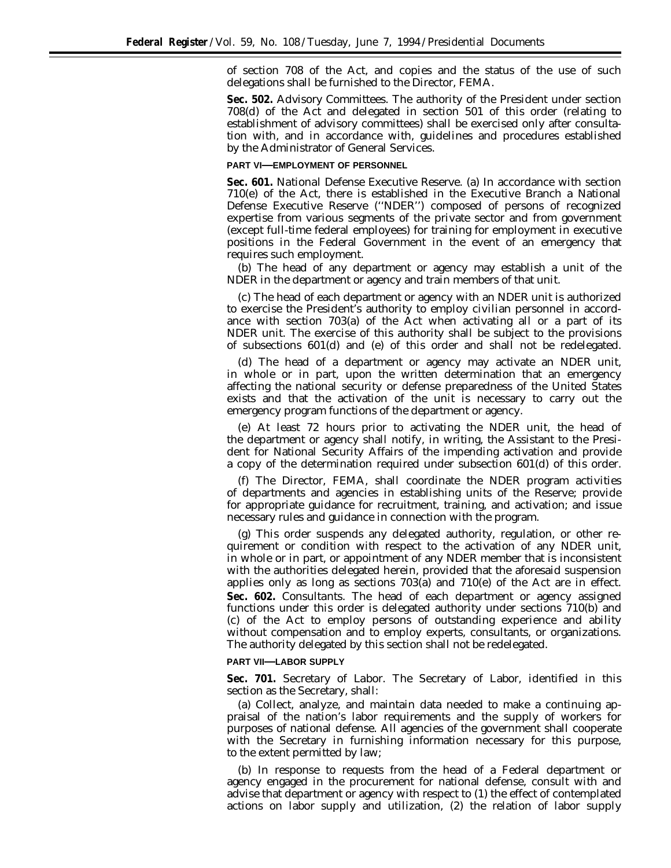of section 708 of the Act, and copies and the status of the use of such delegations shall be furnished to the Director, FEMA.

**Sec. 502.** *Advisory Committees.* The authority of the President under section 708(d) of the Act and delegated in section 501 of this order (relating to establishment of advisory committees) shall be exercised only after consultation with, and in accordance with, guidelines and procedures established by the Administrator of General Services.

## **PART VI—EMPLOYMENT OF PERSONNEL**

**Sec. 601.** *National Defense Executive Reserve.* (a) In accordance with section 710(e) of the Act, there is established in the Executive Branch a National Defense Executive Reserve (''NDER'') composed of persons of recognized expertise from various segments of the private sector and from government (except full-time federal employees) for training for employment in executive positions in the Federal Government in the event of an emergency that requires such employment.

(b) The head of any department or agency may establish a unit of the NDER in the department or agency and train members of that unit.

(c) The head of each department or agency with an NDER unit is authorized to exercise the President's authority to employ civilian personnel in accordance with section 703(a) of the Act when activating all or a part of its NDER unit. The exercise of this authority shall be subject to the provisions of subsections 601(d) and (e) of this order and shall not be redelegated.

(d) The head of a department or agency may activate an NDER unit, in whole or in part, upon the written determination that an emergency affecting the national security or defense preparedness of the United States exists and that the activation of the unit is necessary to carry out the emergency program functions of the department or agency.

(e) At least 72 hours prior to activating the NDER unit, the head of the department or agency shall notify, in writing, the Assistant to the President for National Security Affairs of the impending activation and provide a copy of the determination required under subsection 601(d) of this order.

(f) The Director, FEMA, shall coordinate the NDER program activities of departments and agencies in establishing units of the Reserve; provide for appropriate guidance for recruitment, training, and activation; and issue necessary rules and guidance in connection with the program.

(g) This order suspends any delegated authority, regulation, or other requirement or condition with respect to the activation of any NDER unit, in whole or in part, or appointment of any NDER member that is inconsistent with the authorities delegated herein, provided that the aforesaid suspension applies only as long as sections 703(a) and 710(e) of the Act are in effect. **Sec. 602.** *Consultants.* The head of each department or agency assigned functions under this order is delegated authority under sections 710(b) and (c) of the Act to employ persons of outstanding experience and ability without compensation and to employ experts, consultants, or organizations. The authority delegated by this section shall not be redelegated.

### **PART VII—LABOR SUPPLY**

**Sec. 701.** *Secretary of Labor.* The Secretary of Labor, identified in this section as the Secretary, shall:

(a) Collect, analyze, and maintain data needed to make a continuing appraisal of the nation's labor requirements and the supply of workers for purposes of national defense. All agencies of the government shall cooperate with the Secretary in furnishing information necessary for this purpose, to the extent permitted by law;

(b) In response to requests from the head of a Federal department or agency engaged in the procurement for national defense, consult with and advise that department or agency with respect to (1) the effect of contemplated actions on labor supply and utilization, (2) the relation of labor supply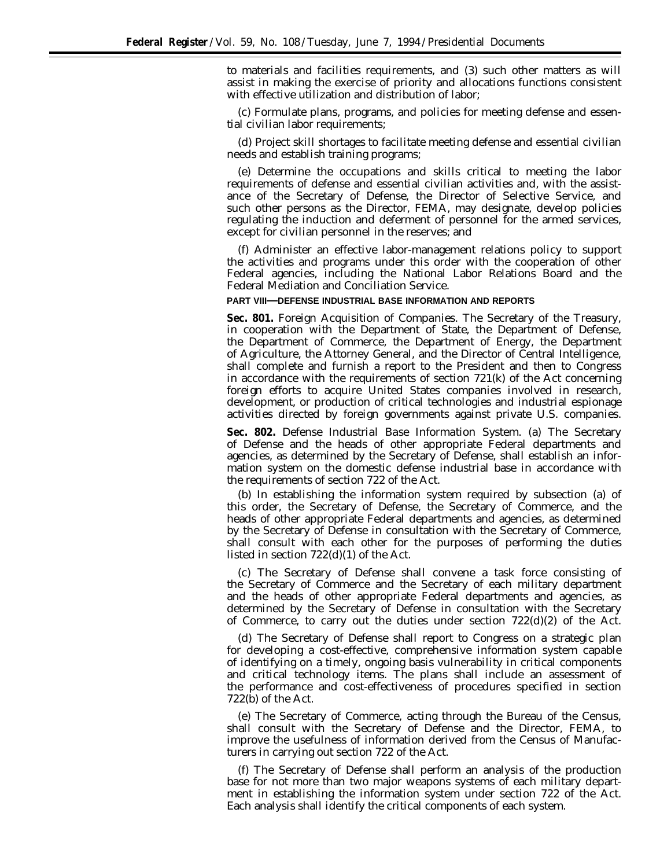to materials and facilities requirements, and (3) such other matters as will assist in making the exercise of priority and allocations functions consistent with effective utilization and distribution of labor;

(c) Formulate plans, programs, and policies for meeting defense and essential civilian labor requirements;

(d) Project skill shortages to facilitate meeting defense and essential civilian needs and establish training programs;

(e) Determine the occupations and skills critical to meeting the labor requirements of defense and essential civilian activities and, with the assistance of the Secretary of Defense, the Director of Selective Service, and such other persons as the Director, FEMA, may designate, develop policies regulating the induction and deferment of personnel for the armed services, except for civilian personnel in the reserves; and

(f) Administer an effective labor-management relations policy to support the activities and programs under this order with the cooperation of other Federal agencies, including the National Labor Relations Board and the Federal Mediation and Conciliation Service.

#### **PART VIII—DEFENSE INDUSTRIAL BASE INFORMATION AND REPORTS**

**Sec. 801.** *Foreign Acquisition of Companies.* The Secretary of the Treasury, in cooperation with the Department of State, the Department of Defense, the Department of Commerce, the Department of Energy, the Department of Agriculture, the Attorney General, and the Director of Central Intelligence, shall complete and furnish a report to the President and then to Congress in accordance with the requirements of section  $721(k)$  of the Act concerning foreign efforts to acquire United States companies involved in research, development, or production of critical technologies and industrial espionage activities directed by foreign governments against private U.S. companies.

**Sec. 802.** *Defense Industrial Base Information System.* (a) The Secretary of Defense and the heads of other appropriate Federal departments and agencies, as determined by the Secretary of Defense, shall establish an information system on the domestic defense industrial base in accordance with the requirements of section 722 of the Act.

(b) In establishing the information system required by subsection (a) of this order, the Secretary of Defense, the Secretary of Commerce, and the heads of other appropriate Federal departments and agencies, as determined by the Secretary of Defense in consultation with the Secretary of Commerce, shall consult with each other for the purposes of performing the duties listed in section 722(d)(1) of the Act.

(c) The Secretary of Defense shall convene a task force consisting of the Secretary of Commerce and the Secretary of each military department and the heads of other appropriate Federal departments and agencies, as determined by the Secretary of Defense in consultation with the Secretary of Commerce, to carry out the duties under section  $722(d)(2)$  of the Act.

(d) The Secretary of Defense shall report to Congress on a strategic plan for developing a cost-effective, comprehensive information system capable of identifying on a timely, ongoing basis vulnerability in critical components and critical technology items. The plans shall include an assessment of the performance and cost-effectiveness of procedures specified in section 722(b) of the Act.

(e) The Secretary of Commerce, acting through the Bureau of the Census, shall consult with the Secretary of Defense and the Director, FEMA, to improve the usefulness of information derived from the Census of Manufacturers in carrying out section 722 of the Act.

(f) The Secretary of Defense shall perform an analysis of the production base for not more than two major weapons systems of each military department in establishing the information system under section 722 of the Act. Each analysis shall identify the critical components of each system.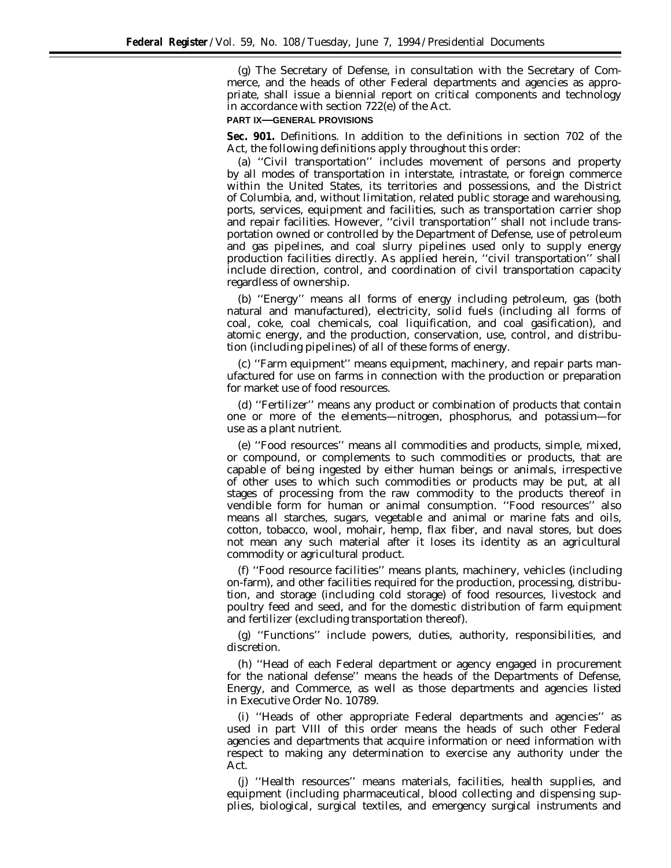(g) The Secretary of Defense, in consultation with the Secretary of Commerce, and the heads of other Federal departments and agencies as appropriate, shall issue a biennial report on critical components and technology in accordance with section 722(e) of the Act.

#### **PART IX—GENERAL PROVISIONS**

**Sec. 901.** *Definitions.* In addition to the definitions in section 702 of the Act, the following definitions apply throughout this order:

(a) ''Civil transportation'' includes movement of persons and property by all modes of transportation in interstate, intrastate, or foreign commerce within the United States, its territories and possessions, and the District of Columbia, and, without limitation, related public storage and warehousing, ports, services, equipment and facilities, such as transportation carrier shop and repair facilities. However, ''civil transportation'' shall not include transportation owned or controlled by the Department of Defense, use of petroleum and gas pipelines, and coal slurry pipelines used only to supply energy production facilities directly. As applied herein, ''civil transportation'' shall include direction, control, and coordination of civil transportation capacity regardless of ownership.

(b) ''Energy'' means all forms of energy including petroleum, gas (both natural and manufactured), electricity, solid fuels (including all forms of coal, coke, coal chemicals, coal liquification, and coal gasification), and atomic energy, and the production, conservation, use, control, and distribution (including pipelines) of all of these forms of energy.

(c) ''Farm equipment'' means equipment, machinery, and repair parts manufactured for use on farms in connection with the production or preparation for market use of food resources.

(d) ''Fertilizer'' means any product or combination of products that contain one or more of the elements—nitrogen, phosphorus, and potassium—for use as a plant nutrient.

(e) ''Food resources'' means all commodities and products, simple, mixed, or compound, or complements to such commodities or products, that are capable of being ingested by either human beings or animals, irrespective of other uses to which such commodities or products may be put, at all stages of processing from the raw commodity to the products thereof in vendible form for human or animal consumption. ''Food resources'' also means all starches, sugars, vegetable and animal or marine fats and oils, cotton, tobacco, wool, mohair, hemp, flax fiber, and naval stores, but does not mean any such material after it loses its identity as an agricultural commodity or agricultural product.

(f) ''Food resource facilities'' means plants, machinery, vehicles (including on-farm), and other facilities required for the production, processing, distribution, and storage (including cold storage) of food resources, livestock and poultry feed and seed, and for the domestic distribution of farm equipment and fertilizer (excluding transportation thereof).

(g) ''Functions'' include powers, duties, authority, responsibilities, and discretion.

(h) ''Head of each Federal department or agency engaged in procurement for the national defense'' means the heads of the Departments of Defense, Energy, and Commerce, as well as those departments and agencies listed in Executive Order No. 10789.

(i) ''Heads of other appropriate Federal departments and agencies'' as used in part VIII of this order means the heads of such other Federal agencies and departments that acquire information or need information with respect to making any determination to exercise any authority under the Act.

(j) ''Health resources'' means materials, facilities, health supplies, and equipment (including pharmaceutical, blood collecting and dispensing supplies, biological, surgical textiles, and emergency surgical instruments and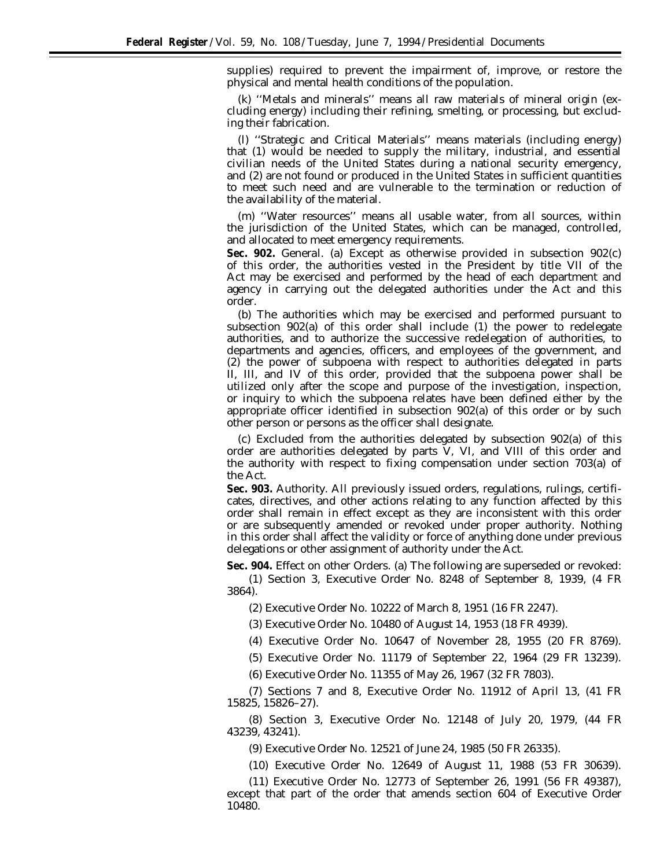supplies) required to prevent the impairment of, improve, or restore the physical and mental health conditions of the population.

(k) ''Metals and minerals'' means all raw materials of mineral origin (excluding energy) including their refining, smelting, or processing, but excluding their fabrication.

(l) ''Strategic and Critical Materials'' means materials (including energy) that (1) would be needed to supply the military, industrial, and essential civilian needs of the United States during a national security emergency, and (2) are not found or produced in the United States in sufficient quantities to meet such need and are vulnerable to the termination or reduction of the availability of the material.

(m) ''Water resources'' means all usable water, from all sources, within the jurisdiction of the United States, which can be managed, controlled, and allocated to meet emergency requirements.

**Sec. 902.** *General.* (a) Except as otherwise provided in subsection 902(c) of this order, the authorities vested in the President by title VII of the Act may be exercised and performed by the head of each department and agency in carrying out the delegated authorities under the Act and this order.

(b) The authorities which may be exercised and performed pursuant to subsection 902(a) of this order shall include (1) the power to redelegate authorities, and to authorize the successive redelegation of authorities, to departments and agencies, officers, and employees of the government, and (2) the power of subpoena with respect to authorities delegated in parts II, III, and IV of this order, provided that the subpoena power shall be utilized only after the scope and purpose of the investigation, inspection, or inquiry to which the subpoena relates have been defined either by the appropriate officer identified in subsection 902(a) of this order or by such other person or persons as the officer shall designate.

(c) Excluded from the authorities delegated by subsection 902(a) of this order are authorities delegated by parts V, VI, and VIII of this order and the authority with respect to fixing compensation under section 703(a) of the Act.

**Sec. 903.** *Authority.* All previously issued orders, regulations, rulings, certificates, directives, and other actions relating to any function affected by this order shall remain in effect except as they are inconsistent with this order or are subsequently amended or revoked under proper authority. Nothing in this order shall affect the validity or force of anything done under previous delegations or other assignment of authority under the Act.

**Sec. 904.** *Effect on other Orders.* (a) The following are superseded or revoked: (1) Section 3, Executive Order No. 8248 of September 8, 1939, (4 FR 3864).

(2) Executive Order No. 10222 of March 8, 1951 (16 FR 2247).

(3) Executive Order No. 10480 of August 14, 1953 (18 FR 4939).

(4) Executive Order No. 10647 of November 28, 1955 (20 FR 8769).

(5) Executive Order No. 11179 of September 22, 1964 (29 FR 13239).

(6) Executive Order No. 11355 of May 26, 1967 (32 FR 7803).

(7) Sections 7 and 8, Executive Order No. 11912 of April 13, (41 FR 15825, 15826–27).

(8) Section 3, Executive Order No. 12148 of July 20, 1979, (44 FR 43239, 43241).

(9) Executive Order No. 12521 of June 24, 1985 (50 FR 26335).

(10) Executive Order No. 12649 of August 11, 1988 (53 FR 30639).

(11) Executive Order No. 12773 of September 26, 1991 (56 FR 49387), except that part of the order that amends section 604 of Executive Order 10480.